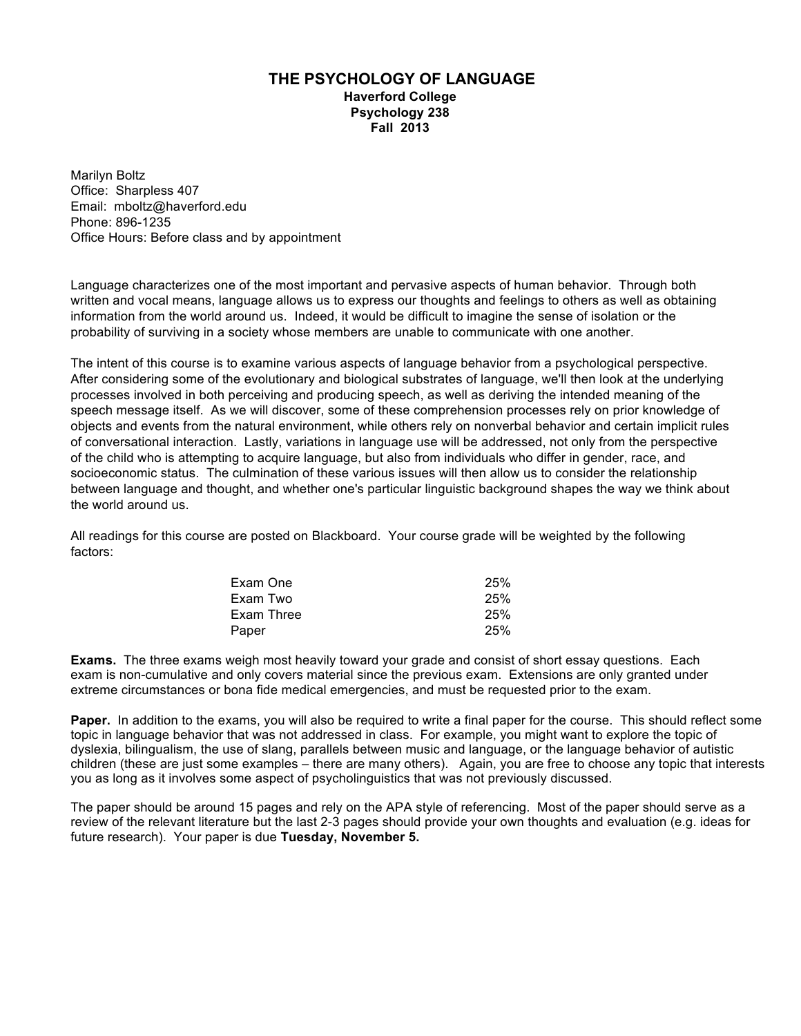# **THE PSYCHOLOGY OF LANGUAGE Haverford College Psychology 238 Fall 2013**

Marilyn Boltz Office: Sharpless 407 Email: mboltz@haverford.edu Phone: 896-1235 Office Hours: Before class and by appointment

Language characterizes one of the most important and pervasive aspects of human behavior. Through both written and vocal means, language allows us to express our thoughts and feelings to others as well as obtaining information from the world around us. Indeed, it would be difficult to imagine the sense of isolation or the probability of surviving in a society whose members are unable to communicate with one another.

The intent of this course is to examine various aspects of language behavior from a psychological perspective. After considering some of the evolutionary and biological substrates of language, we'll then look at the underlying processes involved in both perceiving and producing speech, as well as deriving the intended meaning of the speech message itself. As we will discover, some of these comprehension processes rely on prior knowledge of objects and events from the natural environment, while others rely on nonverbal behavior and certain implicit rules of conversational interaction. Lastly, variations in language use will be addressed, not only from the perspective of the child who is attempting to acquire language, but also from individuals who differ in gender, race, and socioeconomic status. The culmination of these various issues will then allow us to consider the relationship between language and thought, and whether one's particular linguistic background shapes the way we think about the world around us.

All readings for this course are posted on Blackboard. Your course grade will be weighted by the following factors:

| Exam One   | 25% |
|------------|-----|
| Exam Two   | 25% |
| Exam Three | 25% |
| Paper      | 25% |

**Exams.** The three exams weigh most heavily toward your grade and consist of short essay questions. Each exam is non-cumulative and only covers material since the previous exam. Extensions are only granted under extreme circumstances or bona fide medical emergencies, and must be requested prior to the exam.

**Paper.** In addition to the exams, you will also be required to write a final paper for the course. This should reflect some topic in language behavior that was not addressed in class. For example, you might want to explore the topic of dyslexia, bilingualism, the use of slang, parallels between music and language, or the language behavior of autistic children (these are just some examples – there are many others). Again, you are free to choose any topic that interests you as long as it involves some aspect of psycholinguistics that was not previously discussed.

The paper should be around 15 pages and rely on the APA style of referencing. Most of the paper should serve as a review of the relevant literature but the last 2-3 pages should provide your own thoughts and evaluation (e.g. ideas for future research). Your paper is due **Tuesday, November 5.**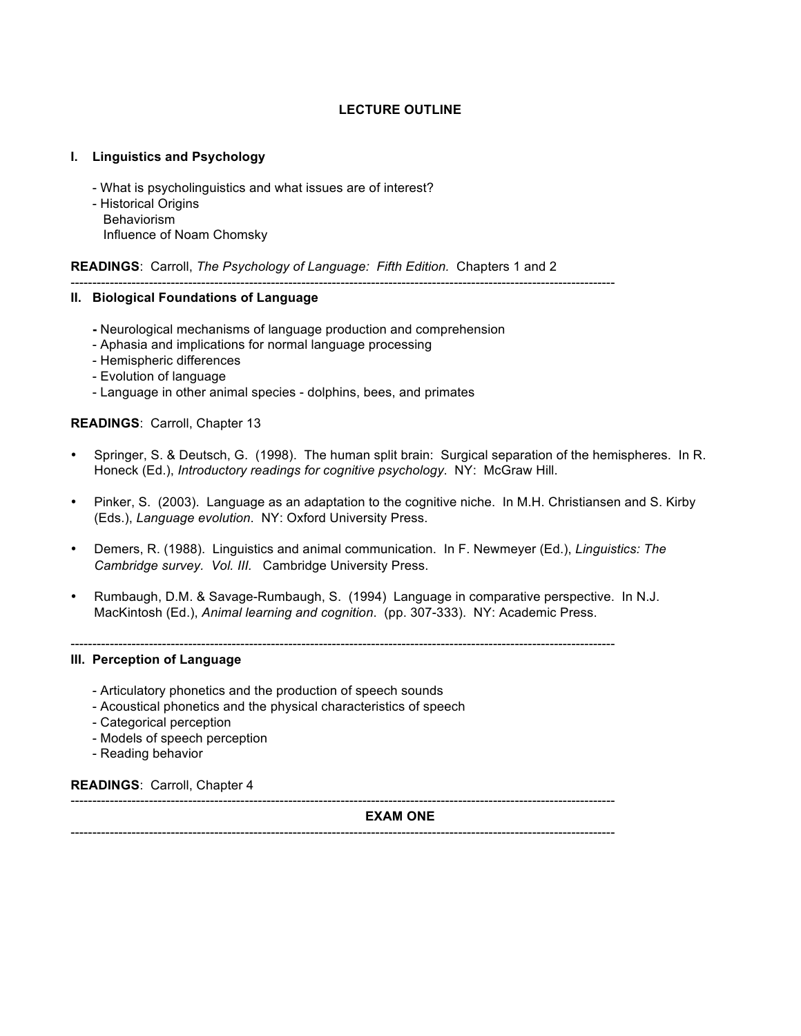## **LECTURE OUTLINE**

#### **I. Linguistics and Psychology**

- What is psycholinguistics and what issues are of interest?
- Historical Origins Behaviorism Influence of Noam Chomsky

#### **READINGS**: Carroll, *The Psychology of Language: Fifth Edition.* Chapters 1 and 2

#### ----------------------------------------------------------------------------------------------------------------------------- **II. Biological Foundations of Language**

- **-** Neurological mechanisms of language production and comprehension
- Aphasia and implications for normal language processing
- Hemispheric differences
- Evolution of language
- Language in other animal species dolphins, bees, and primates

#### **READINGS**: Carroll, Chapter 13

- Springer, S. & Deutsch, G. (1998). The human split brain: Surgical separation of the hemispheres. In R. Honeck (Ed.), *Introductory readings for cognitive psychology*. NY: McGraw Hill.
- Pinker, S. (2003). Language as an adaptation to the cognitive niche. In M.H. Christiansen and S. Kirby (Eds.), *Language evolution*. NY: Oxford University Press.
- Demers, R. (1988). Linguistics and animal communication. In F. Newmeyer (Ed.), *Linguistics: The Cambridge survey. Vol. III.* Cambridge University Press.
- Rumbaugh, D.M. & Savage-Rumbaugh, S. (1994) Language in comparative perspective. In N.J. MacKintosh (Ed.), *Animal learning and cognition*. (pp. 307-333). NY: Academic Press.

-----------------------------------------------------------------------------------------------------------------------------

#### **III. Perception of Language**

- Articulatory phonetics and the production of speech sounds
- Acoustical phonetics and the physical characteristics of speech
- Categorical perception
- Models of speech perception

-----------------------------------------------------------------------------------------------------------------------------

- Reading behavior

#### **READINGS**: Carroll, Chapter 4

#### **EXAM ONE**

-----------------------------------------------------------------------------------------------------------------------------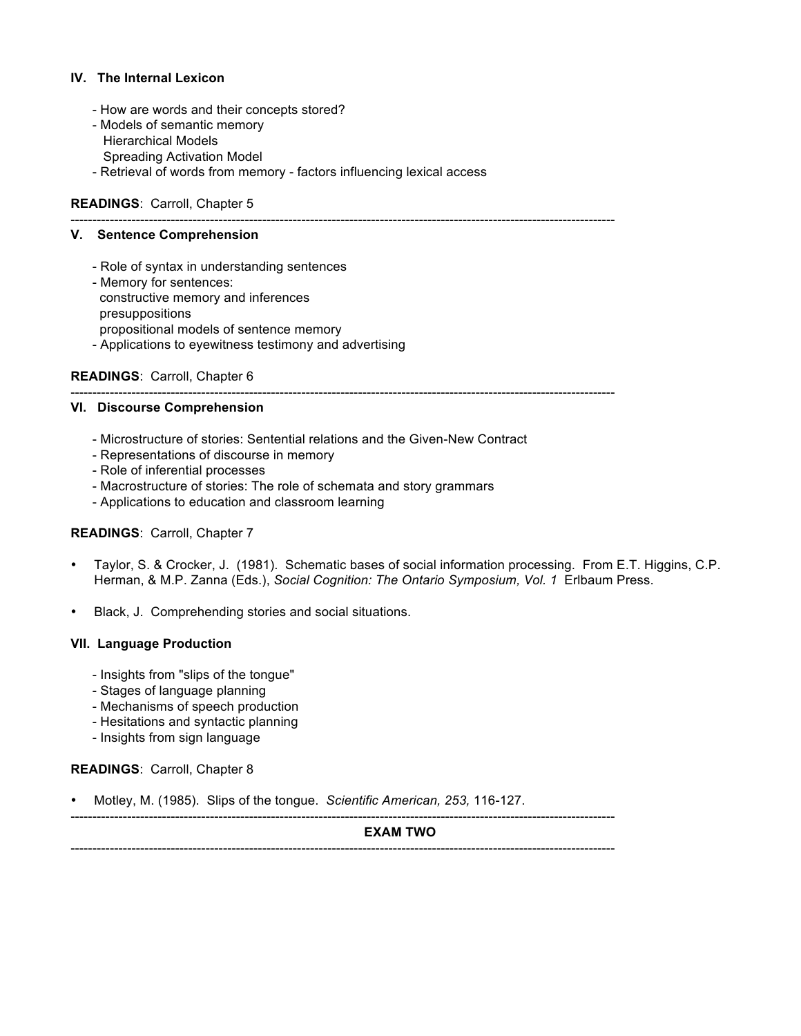## **IV. The Internal Lexicon**

- How are words and their concepts stored?
- Models of semantic memory
- Hierarchical Models
- Spreading Activation Model
- Retrieval of words from memory factors influencing lexical access

## **READINGS**: Carroll, Chapter 5

-----------------------------------------------------------------------------------------------------------------------------

# **V. Sentence Comprehension**

- Role of syntax in understanding sentences
- Memory for sentences: constructive memory and inferences presuppositions propositional models of sentence memory - Applications to eyewitness testimony and advertising

## **READINGS**: Carroll, Chapter 6

-----------------------------------------------------------------------------------------------------------------------------

## **VI. Discourse Comprehension**

- Microstructure of stories: Sentential relations and the Given-New Contract
- Representations of discourse in memory
- Role of inferential processes
- Macrostructure of stories: The role of schemata and story grammars
- Applications to education and classroom learning

## **READINGS**: Carroll, Chapter 7

- Taylor, S. & Crocker, J. (1981). Schematic bases of social information processing. From E.T. Higgins, C.P. Herman, & M.P. Zanna (Eds.), *Social Cognition: The Ontario Symposium, Vol. 1* Erlbaum Press.
- Black, J. Comprehending stories and social situations.

#### **VII. Language Production**

- Insights from "slips of the tongue"
- Stages of language planning
- Mechanisms of speech production
- Hesitations and syntactic planning
- Insights from sign language

## **READINGS**: Carroll, Chapter 8

• Motley, M. (1985). Slips of the tongue. *Scientific American, 253,* 116-127.

-----------------------------------------------------------------------------------------------------------------------------

-----------------------------------------------------------------------------------------------------------------------------

## **EXAM TWO**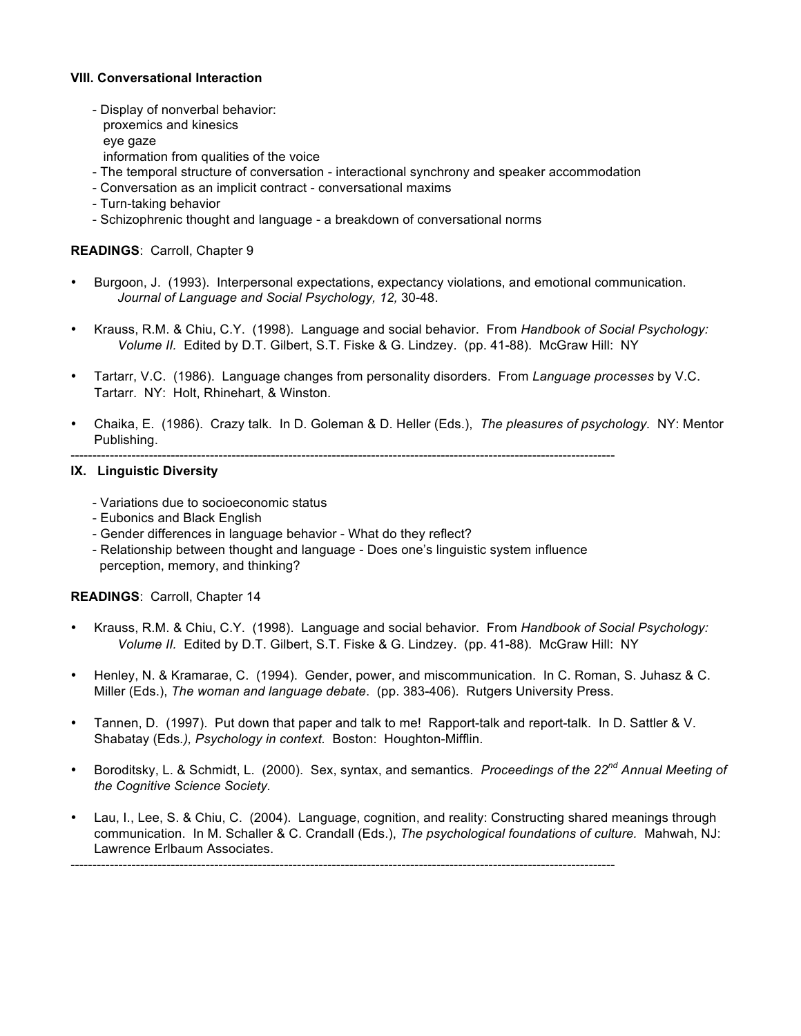## **VIII. Conversational Interaction**

- Display of nonverbal behavior: proxemics and kinesics eye gaze information from qualities of the voice
- The temporal structure of conversation interactional synchrony and speaker accommodation
- Conversation as an implicit contract conversational maxims
- Turn-taking behavior
- Schizophrenic thought and language a breakdown of conversational norms

#### **READINGS**: Carroll, Chapter 9

- Burgoon, J. (1993). Interpersonal expectations, expectancy violations, and emotional communication. *Journal of Language and Social Psychology, 12,* 30-48.
- Krauss, R.M. & Chiu, C.Y. (1998). Language and social behavior. From *Handbook of Social Psychology: Volume II.* Edited by D.T. Gilbert, S.T. Fiske & G. Lindzey. (pp. 41-88). McGraw Hill: NY
- Tartarr, V.C. (1986). Language changes from personality disorders. From *Language processes* by V.C. Tartarr. NY: Holt, Rhinehart, & Winston.
- Chaika, E. (1986). Crazy talk. In D. Goleman & D. Heller (Eds.), *The pleasures of psychology.* NY: Mentor Publishing.

#### ----------------------------------------------------------------------------------------------------------------------------- **IX. Linguistic Diversity**

- Variations due to socioeconomic status
- Eubonics and Black English
- Gender differences in language behavior What do they reflect?
- Relationship between thought and language Does one's linguistic system influence perception, memory, and thinking?

#### **READINGS**: Carroll, Chapter 14

- Krauss, R.M. & Chiu, C.Y. (1998). Language and social behavior. From *Handbook of Social Psychology: Volume II.* Edited by D.T. Gilbert, S.T. Fiske & G. Lindzey. (pp. 41-88). McGraw Hill: NY
- Henley, N. & Kramarae, C. (1994). Gender, power, and miscommunication. In C. Roman, S. Juhasz & C. Miller (Eds.), *The woman and language debate*. (pp. 383-406). Rutgers University Press.
- Tannen, D. (1997). Put down that paper and talk to me! Rapport-talk and report-talk. In D. Sattler & V. Shabatay (Eds*.), Psychology in context.* Boston: Houghton-Mifflin.
- Boroditsky, L. & Schmidt, L. (2000). Sex, syntax, and semantics. *Proceedings of the 22nd Annual Meeting of the Cognitive Science Society.*
- Lau, I., Lee, S. & Chiu, C. (2004). Language, cognition, and reality: Constructing shared meanings through communication. In M. Schaller & C. Crandall (Eds.), *The psychological foundations of culture.* Mahwah, NJ: Lawrence Erlbaum Associates.

-----------------------------------------------------------------------------------------------------------------------------